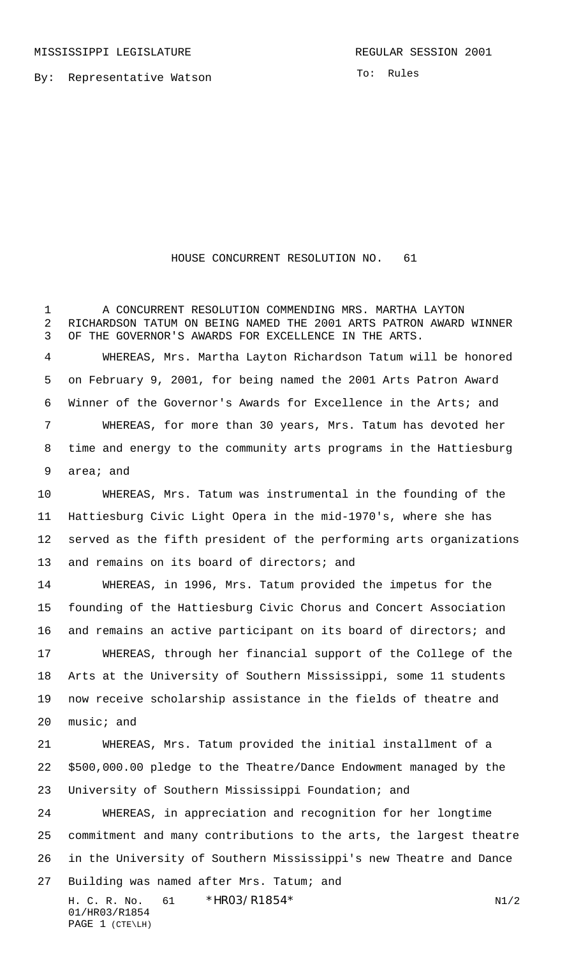By: Representative Watson

## HOUSE CONCURRENT RESOLUTION NO. 61

1 A CONCURRENT RESOLUTION COMMENDING MRS. MARTHA LAYTON RICHARDSON TATUM ON BEING NAMED THE 2001 ARTS PATRON AWARD WINNER OF THE GOVERNOR'S AWARDS FOR EXCELLENCE IN THE ARTS.

 WHEREAS, Mrs. Martha Layton Richardson Tatum will be honored on February 9, 2001, for being named the 2001 Arts Patron Award Winner of the Governor's Awards for Excellence in the Arts; and WHEREAS, for more than 30 years, Mrs. Tatum has devoted her time and energy to the community arts programs in the Hattiesburg area; and

 WHEREAS, Mrs. Tatum was instrumental in the founding of the Hattiesburg Civic Light Opera in the mid-1970's, where she has served as the fifth president of the performing arts organizations 13 and remains on its board of directors; and

 WHEREAS, in 1996, Mrs. Tatum provided the impetus for the founding of the Hattiesburg Civic Chorus and Concert Association and remains an active participant on its board of directors; and WHEREAS, through her financial support of the College of the Arts at the University of Southern Mississippi, some 11 students now receive scholarship assistance in the fields of theatre and music; and

 WHEREAS, Mrs. Tatum provided the initial installment of a \$500,000.00 pledge to the Theatre/Dance Endowment managed by the University of Southern Mississippi Foundation; and

 WHEREAS, in appreciation and recognition for her longtime commitment and many contributions to the arts, the largest theatre in the University of Southern Mississippi's new Theatre and Dance 27 Building was named after Mrs. Tatum; and

H. C. R. No. \*HRO3/R1854\* N1/2 01/HR03/R1854 PAGE 1 (CTE\LH)